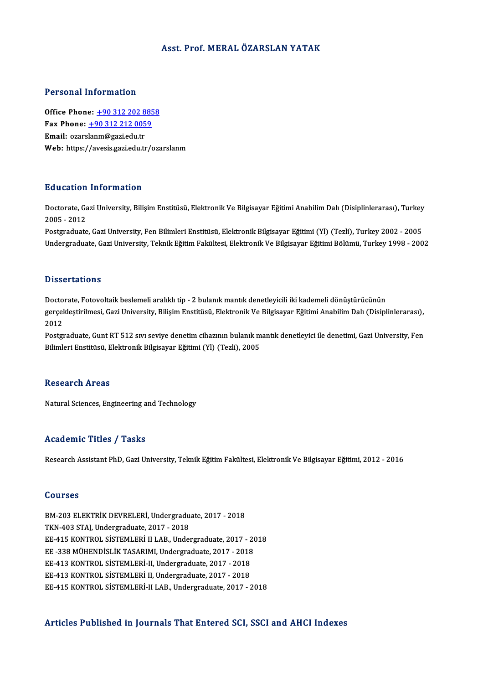### Asst. Prof.MERALÖZARSLAN YATAK

### Personal Information

Personal Information<br>Office Phone: <u>+90 312 202 8858</u><br>Fax Phone: 190 312 212 0050 office Phone: <u>+90 312 202 885</u><br>Fax Phone: <u>+90 312 212 0059</u><br>Fmail: exerclenm@soxi.edu.tr Office Phone: <u>+90 312 202 8</u><br>Fax Phone: <u>+90 312 212 005</u><br>Email: ozars[lanm@gazi.edu.tr](tel:+90 312 212 0059) Fax Phone: <u>+90 312 212 0059</u><br>Email: ozarslanm@gazi.edu.tr<br>Web: https://avesis.gazi.edu.tr/ozarslanm

### Education Information

**Education Information**<br>Doctorate, Gazi University, Bilişim Enstitüsü, Elektronik Ve Bilgisayar Eğitimi Anabilim Dalı (Disiplinlerarası), Turkey<br>2005 - 2012 2005 - 2012<br>2005 - 2012<br>Postaraduata Doctorate, Gazi University, Bilişim Enstitüsü, Elektronik Ve Bilgisayar Eğitimi Anabilim Dalı (Disiplinlerarası), Turkey<br>2005 - 2012<br>Postgraduate, Gazi University, Fen Bilimleri Enstitüsü, Elektronik Bilgisayar Eğitimi (Yl

2005 - 2012<br>Postgraduate, Gazi University, Fen Bilimleri Enstitüsü, Elektronik Bilgisayar Eğitimi (Yl) (Tezli), Turkey 2002 - 2005<br>Undergraduate, Gazi University, Teknik Eğitim Fakültesi, Elektronik Ve Bilgisayar Eğitimi B

### **Dissertations**

Dissertations<br>Doctorate, Fotovoltaik beslemeli aralıklı tip - 2 bulanık mantık denetleyicili iki kademeli dönüştürücünün<br>serseklestirilmesi, Cari University, Bilisim Enstitüsü, Elektronik Ve Bilgisevar Fğitimi Anabilim Del gerçekleştirilmesi, Gazi University, Bilişim Enstitüsü, Elektronik Ve Bilgisayar Eğitimi Anabilim Dalı (Disiplinlerarası),<br>2012 Docto<br>gerçel<br>2012<br>Postar gerçekleştirilmesi, Gazi University, Bilişim Enstitüsü, Elektronik Ve Bilgisayar Eğitimi Anabilim Dalı (Disiplinlerarası),<br>2012<br>Postgraduate, Gunt RT 512 sıvı seviye denetim cihazının bulanık mantık denetleyici ile denetim

2012<br>Postgraduate, Gunt RT 512 sıvı seviye denetim cihazının bulanık m<br>Bilimleri Enstitüsü, Elektronik Bilgisayar Eğitimi (Yl) (Tezli), 2005 Bilimleri Enstitüsü, Elektronik Bilgisayar Eğitimi (Yl) (Tezli), 2005<br>Research Areas

Natural Sciences, Engineering and Technology

### Academic Titles / Tasks

Research Assistant PhD, Gazi University, Teknik Eğitim Fakültesi, Elektronik Ve Bilgisayar Eğitimi, 2012 - 2016

### Courses

BM-203ELEKTRİKDEVRELERİ,Undergraduate,2017 -2018 TKN-403 STAJ, Undergraduate, 2017 - 2018 BM-203 ELEKTRİK DEVRELERİ, Undergraduate, 2017 - 2018<br>TKN-403 STAJ, Undergraduate, 2017 - 2018<br>EE-415 KONTROL SİSTEMLERİ II LAB., Undergraduate, 2017 - 2018<br>EE-229 MÜHENDİSLİK TASARIMI Undergraduate, 2017 - 2019 TKN-403 STAJ, Undergraduate, 2017 - 2018<br>EE-415 KONTROL SISTEMLERI II LAB., Undergraduate, 2017 - 20<br>EE -338 MÜHENDISLIK TASARIMI, Undergraduate, 2017 - 2018<br>EE 412 KONTROL SISTEMI ERI II Undergraduate, 2017 - 2019 EE-415 KONTROL SİSTEMLERİ II LAB., Undergraduate, 2017 - 2<br>EE -338 MÜHENDİSLİK TASARIMI, Undergraduate, 2017 - 2018<br>EE-413 KONTROL SİSTEMLERİ-II, Undergraduate, 2017 - 2018<br>EE 412 KONTROL SİSTEMLERİ II, Undergraduate, 2017 EE-338 MÜHENDİSLİK TASARIMI, Undergraduate, 2017 - 2018<br>EE-413 KONTROL SİSTEMLERİ-II, Undergraduate, 2017 - 2018<br>EE-413 KONTROL SİSTEMLERİ II, Undergraduate, 2017 - 2018 EE-415 KONTROL SİSTEMLERİ-II LAB., Undergraduate, 2017 - 2018

## Articles Published in Journals That Entered SCI, SSCI and AHCI Indexes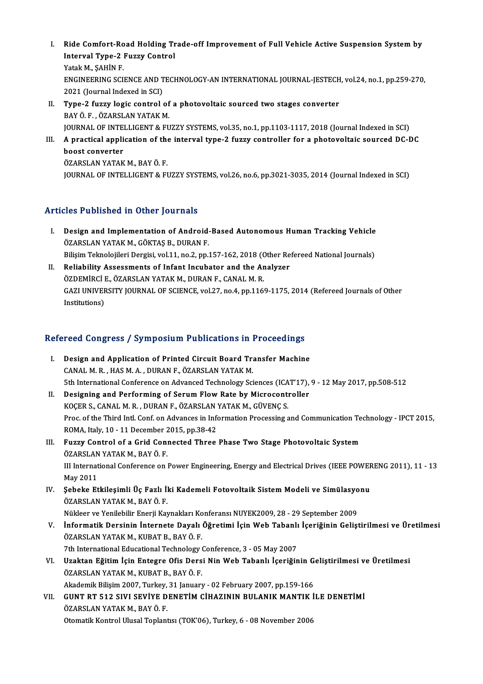- I. Ride Comfort-Road Holding Trade-off Improvement of Full Vehicle Active Suspension System by<br>Interval Tyne 3 Eugey Control Ride Comfort-Road Holding Tr<br>Interval Type-2 Fuzzy Control<br>Yetak M. SAHIN F Ride Comfort-Ro<br>Interval Type-2 |<br>Yatak M., ŞAHİN F.<br>ENCINEERINC SCU Interval Type-2 Fuzzy Control<br>Yatak M., ŞAHİN F.<br>ENGINEERING SCIENCE AND TECHNOLOGY-AN INTERNATIONAL JOURNAL-JESTECH, vol.24, no.1, pp.259-270,<br>2021 (Journal Indoved in SCI) Yatak M., ŞAHİN F.<br>ENGINEERING SCIENCE AND T<br>2021 (Journal Indexed in SCI)<br>Tuno 2 furry logic control ENGINEERING SCIENCE AND TECHNOLOGY-AN INTERNATIONAL JOURNAL-JESTECH<br>2021 (Journal Indexed in SCI)<br>II. Type-2 fuzzy logic control of a photovoltaic sourced two stages converter<br>PAVÖ E. ÖZARSLAN VATAK M
- 2021 (Journal Indexed in SCI)<br>**Type-2 fuzzy logic control of**<br>BAY Ö. F. , ÖZARSLAN YATAK M.<br>JOUPNAL OF INTELLICENT & FU BAY Ö. F. , ÖZARSLAN YATAK M.<br>JOURNAL OF INTELLIGENT & FUZZY SYSTEMS, vol.35, no.1, pp.1103-1117, 2018 (Journal Indexed in SCI) BAY Ö. F. , ÖZARSLAN YATAK M.<br>JOURNAL OF INTELLIGENT & FUZZY SYSTEMS, vol.35, no.1, pp.1103-1117, 2018 (Journal Indexed in SCI)<br>III. A practical application of the interval type-2 fuzzy controller for a photovoltaic so
- **JOURNAL OF INTE<br>A practical appli<br>boost converter<br>ÖZABSLAN VATAK** A practical application of the<br>boost converter<br>ÖZARSLAN YATAK M., BAY Ö. F.<br>JOUPNAL OF INTELLICENT & EL boost converter<br>ÖZARSLAN YATAK M., BAY Ö. F.<br>JOURNAL OF INTELLIGENT & FUZZY SYSTEMS, vol.26, no.6, pp.3021-3035, 2014 (Journal Indexed in SCI)

# Articles Published in Other Journals

- rticles Published in Other Journals<br>I. Design and Implementation of Android-Based Autonomous Human Tracking Vehicle<br>ÖZARSLAN VATAKAL GÖKTAS R. DURAN F. Mes Tublished in Scher Journals<br>Design and Implementation of Android<br>ÖZARSLAN YATAK M., GÖKTAŞ B., DURAN F. Design and Implementation of Android-Based Autonomous Human Tracking Vehicle<br>ÖZARSLAN YATAK M., GÖKTAŞ B., DURAN F.<br>Bilişim Teknolojileri Dergisi, vol.11, no.2, pp.157-162, 2018 (Other Refereed National Journals)<br>Belishili ÖZARSLAN YATAK M., GÖKTAŞ B., DURAN F.<br>Bilişim Teknolojileri Dergisi, vol.11, no.2, pp.157-162, 2018 (Other Re<br>II. Reliability Assessments of Infant Incubator and the Analyzer<br>ÖZDEMİRCİ E. ÖZARSLAN YATAK M. DIRAN E. CANAL
- Bilişim Teknolojileri Dergisi, vol.11, no.2, pp.157-162, 2018 (C)<br>Reliability Assessments of Infant Incubator and the Ar<br>ÖZDEMİRCİ E., ÖZARSLAN YATAK M., DURAN F., CANAL M. R.<br>CAZLUNIVERSITY JOURNAL OF SCIENCE vol.27, no.4 GAZI UNIVERSITY JOURNAL OF SCIENCE, vol.27, no.4, pp.1169-1175, 2014 (Refereed Journals of Other Institutions) ÖZDEMİRCİ E., ÖZARSLAN YATAK M., DURAN F., CANAL M. R.

# msututions)<br>Refereed Congress / Symposium Publications in Proceedings

- efereed Congress / Symposium Publications in Proceedings<br>I. Design and Application of Printed Circuit Board Transfer Machine I. Design and Application of Printed Circuit Board Transfer Machine<br>CANAL M.R., HAS M.A., DURAN F., ÖZARSLAN YATAK M. 5th International Conference on Advanced Technology Sciences (ICAT'17), 9 - 12 May 2017, pp.508-512 CANAL M. R., HAS M. A., DURAN F., ÖZARSLAN YATAK M.<br>5th International Conference on Advanced Technology Sciences (ICAT'17),<br>II. Designing and Performing of Serum Flow Rate by Microcontroller<br>FOCERS, CANAL M. B., DURAN E. Ö
- 5th International Conference on Advanced Technology Sciences (ICA<br>Designing and Performing of Serum Flow Rate by Microcont<br>KOÇER S., CANAL M. R. , DURAN F., ÖZARSLAN YATAK M., GÜVENÇ S.<br>Pres of the Third Intl Conf. on Adva Designing and Performing of Serum Flow Rate by Microcontroller<br>KOÇER S., CANAL M. R. , DURAN F., ÖZARSLAN YATAK M., GÜVENÇ S.<br>Proc. of the Third Intl. Conf. on Advances in Information Processing and Communication Technolog KOÇER S., CANAL M. R., DURAN F., ÖZARSLAN<br>Proc. of the Third Intl. Conf. on Advances in Info<br>ROMA, Italy, 10 - 11 December 2015, pp.38-42<br>Eugay Control of a Crid Connected Three Proc. of the Third Intl. Conf. on Advances in Information Processing and Communication Te<br>ROMA, Italy, 10 - 11 December 2015, pp.38-42<br>III. Fuzzy Control of a Grid Connected Three Phase Two Stage Photovoltaic System<br>ÖZARSI
- ROMA, Italy, 10 11 December 2<br>Fuzzy Control of a Grid Con:<br>ÖZARSLAN YATAK M., BAY Ö. F.<br>III International Conference on . Fuzzy Control of a Grid Connected Three Phase Two Stage Photovoltaic System<br>ÖZARSLAN YATAK M., BAY Ö. F.<br>III International Conference on Power Engineering, Energy and Electrical Drives (IEEE POWERENG 2011), 11 - 13<br>May 201 ÖZARSLAN<br>III Internat<br>May 2011<br>Sebeke Et III International Conference on Power Engineering, Energy and Electrical Drives (IEEE POWEF<br>May 2011<br>IV. Sebeke Etkileşimli Üç Fazlı İki Kademeli Fotovoltaik Sistem Modeli ve Simülasyonu<br>ÖZARSI AN VATAK M. RAV Ö. E
- May 2011<br>IV. Şebeke Etkileşimli Üç Fazlı İki Kademeli Fotovoltaik Sistem Modeli ve Simülasyonu<br>ÖZARSLAN YATAK M., BAY Ö. F. Şebeke Etkileşimli Üç Fazlı İki Kademeli Fotovoltaik Sistem Modeli ve Simülasyo<br>ÖZARSLAN YATAK M., BAY Ö. F.<br>Nükleer ve Yenilebilir Enerji Kaynakları Konferansı NUYEK2009, 28 - 29 September 2009<br>İnformatik Dorsinin İntorna
- ÖZARSLAN YATAK M., BAY Ö. F.<br>Nükleer ve Yenilebilir Enerji Kaynakları Konferansı NUYEK2009, 28 29 September 2009<br>V. İnformatik Dersinin İnternete Dayalı Öğretimi İçin Web Tabanlı İçeriğinin Geliştirilmesi ve Üretilmesi<br>Ö Nükleer ve Yenilebilir Enerji Kaynakları Ko<br>İnformatik Dersinin İnternete Dayalı<br>ÖZARSLAN YATAK M., KUBAT B., BAY Ö. F.<br><sup>7th International Educational Technology</sup>. İnformatik Dersinin İnternete Dayalı Öğretimi İçin Web Tabanlı<br>ÖZARSLAN YATAK M., KUBAT B., BAY Ö. F.<br>7th International Educational Technology Conference, 3 - 05 May 2007<br>Uraktan Făitim İsin Entesre Ofis Darsi Nin Web Taba ÖZARSLAN YATAK M., KUBAT B., BAY Ö. F.<br>7th International Educational Technology Conference, 3 - 05 May 2007<br>VI. Uzaktan Eğitim İçin Entegre Ofis Dersi Nin Web Tabanlı İçeriğinin Geliştirilmesi ve Üretilmesi
- ÖZARSLANYATAKM.,KUBATB.,BAYÖ.F. Uzaktan Eğitim İçin Entegre Ofis Dersi Nin Web Tabanlı İçeriğinin G<br>ÖZARSLAN YATAK M., KUBAT B., BAY Ö. F.<br>Akademik Bilişim 2007, Turkey, 31 January - 02 February 2007, pp.159-166<br>CUNT P.T. 512 SIVI SEVİVE DENETİM CİHAZINI
- VII. GUNT RT 512 SIVI SEVİYE DENETİM CİHAZININ BULANIK MANTIK İLE DENETİMİ<br>ÖZARSLAN YATAK M., BAY Ö. F. Akademik Bilişim 2007, Turkey,<br>GUNT RT 512 SIVI SEVİYE D<br>ÖZARSLAN YATAK M., BAY Ö. F.<br>Otomatik Kontrol Ulusel Tenları Otomatik Kontrol Ulusal Toplantısı (TOK'06), Turkey, 6 - 08 November 2006